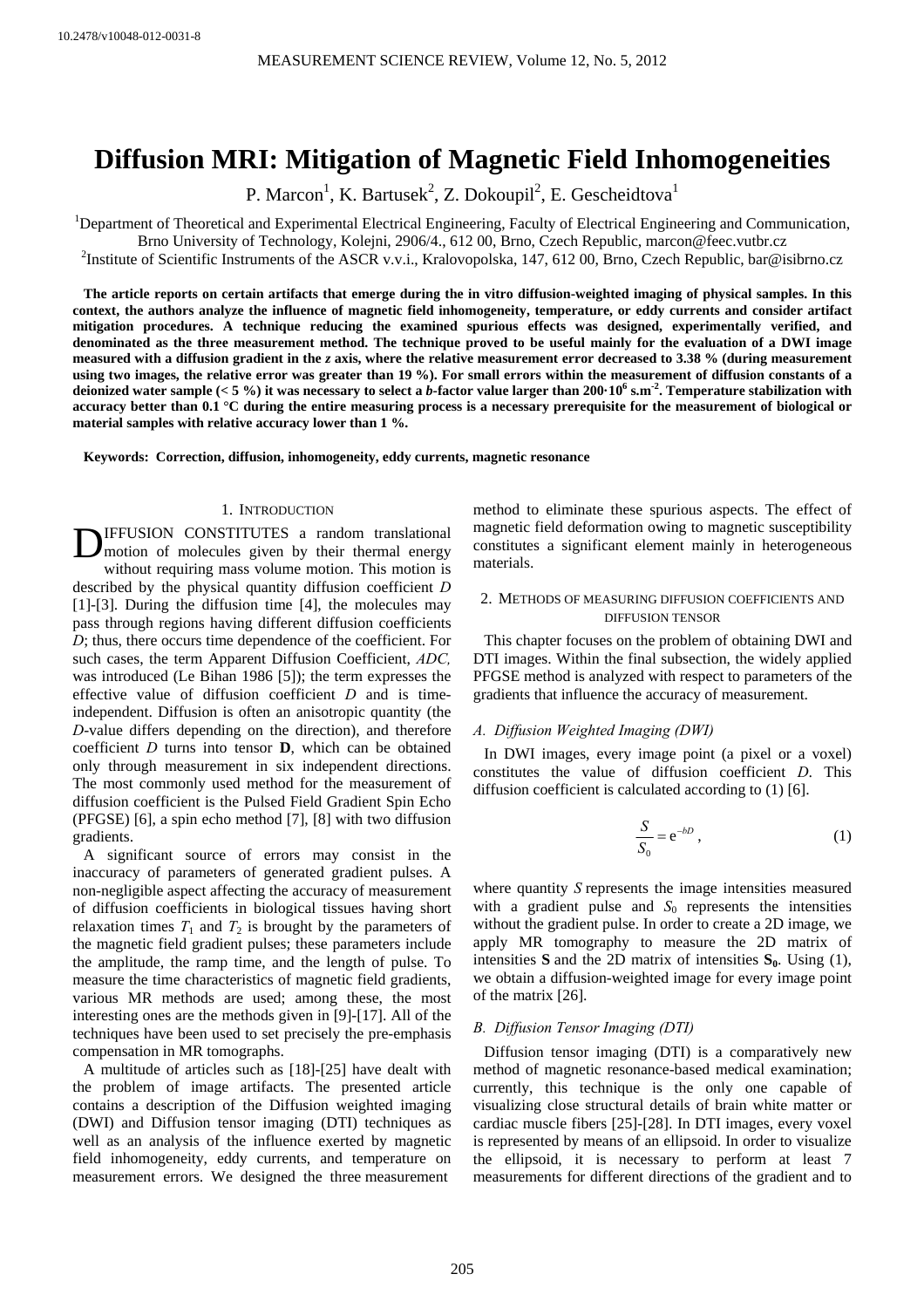# **Diffusion MRI: Mitigation of Magnetic Field Inhomogeneities**

P. Marcon<sup>1</sup>, K. Bartusek<sup>2</sup>, Z. Dokoupil<sup>2</sup>, E. Gescheidtova<sup>1</sup>

<sup>1</sup>Department of Theoretical and Experimental Electrical Engineering, Faculty of Electrical Engineering and Communication,

Brno University of Technology, Kolejni, 2906/4., 612 00, Brno, Czech Republic, marcon@feec.vutbr.cz 2

<sup>2</sup>Institute of Scientific Instruments of the ASCR v.v.i., Kralovopolska, 147, 612 00, Brno, Czech Republic, bar@isibrno.cz

**The article reports on certain artifacts that emerge during the in vitro diffusion-weighted imaging of physical samples. In this context, the authors analyze the influence of magnetic field inhomogeneity, temperature, or eddy currents and consider artifact mitigation procedures. A technique reducing the examined spurious effects was designed, experimentally verified, and denominated as the three measurement method. The technique proved to be useful mainly for the evaluation of a DWI image measured with a diffusion gradient in the** *z* **axis, where the relative measurement error decreased to 3.38 % (during measurement using two images, the relative error was greater than 19 %). For small errors within the measurement of diffusion constants of a deionized water sample (< 5 %) it was necessary to select a** *b***-factor value larger than 200·106 s.m-2. Temperature stabilization with accuracy better than 0.1 °C during the entire measuring process is a necessary prerequisite for the measurement of biological or material samples with relative accuracy lower than 1 %.** 

**Keywords: Correction, diffusion, inhomogeneity, eddy currents, magnetic resonance** 

# 1. INTRODUCTION

IFFUSION CONSTITUTES a random translational **D**IFFUSION CONSTITUTES a random translational motion of molecules given by their thermal energy without requiring mass volume motion. This motion is described by the physical quantity diffusion coefficient *D* [1]-[3]. During the diffusion time [4], the molecules may pass through regions having different diffusion coefficients *D*; thus, there occurs time dependence of the coefficient. For such cases, the term Apparent Diffusion Coefficient, *ADC,*  was introduced (Le Bihan 1986 [5]); the term expresses the effective value of diffusion coefficient *D* and is timeindependent. Diffusion is often an anisotropic quantity (the *D*-value differs depending on the direction), and therefore coefficient *D* turns into tensor **D**, which can be obtained only through measurement in six independent directions. The most commonly used method for the measurement of diffusion coefficient is the Pulsed Field Gradient Spin Echo (PFGSE) [6], a spin echo method [7], [8] with two diffusion gradients.

A significant source of errors may consist in the inaccuracy of parameters of generated gradient pulses. A non-negligible aspect affecting the accuracy of measurement of diffusion coefficients in biological tissues having short relaxation times  $T_1$  and  $T_2$  is brought by the parameters of the magnetic field gradient pulses; these parameters include the amplitude, the ramp time, and the length of pulse. To measure the time characteristics of magnetic field gradients, various MR methods are used; among these, the most interesting ones are the methods given in [9]-[17]. All of the techniques have been used to set precisely the pre-emphasis compensation in MR tomographs.

A multitude of articles such as [18]-[25] have dealt with the problem of image artifacts. The presented article contains a description of the Diffusion weighted imaging (DWI) and Diffusion tensor imaging (DTI) techniques as well as an analysis of the influence exerted by magnetic field inhomogeneity, eddy currents, and temperature on measurement errors. We designed the three measurement

method to eliminate these spurious aspects. The effect of magnetic field deformation owing to magnetic susceptibility constitutes a significant element mainly in heterogeneous materials.

#### 2. METHODS OF MEASURING DIFFUSION COEFFICIENTS AND DIFFUSION TENSOR

This chapter focuses on the problem of obtaining DWI and DTI images. Within the final subsection, the widely applied PFGSE method is analyzed with respect to parameters of the gradients that influence the accuracy of measurement.

# *A. Diffusion Weighted Imaging (DWI)*

In DWI images, every image point (a pixel or a voxel) constitutes the value of diffusion coefficient *D*. This diffusion coefficient is calculated according to (1) [6].

$$
\frac{S}{S_0} = e^{-bD},\tag{1}
$$

where quantity *S* represents the image intensities measured with a gradient pulse and  $S_0$  represents the intensities without the gradient pulse. In order to create a 2D image, we apply MR tomography to measure the 2D matrix of intensities **S** and the 2D matrix of intensities  $S_0$ . Using (1), we obtain a diffusion-weighted image for every image point of the matrix [26].

#### *B. Diffusion Tensor Imaging (DTI)*

Diffusion tensor imaging (DTI) is a comparatively new method of magnetic resonance-based medical examination; currently, this technique is the only one capable of visualizing close structural details of brain white matter or cardiac muscle fibers [25]-[28]. In DTI images, every voxel is represented by means of an ellipsoid. In order to visualize the ellipsoid, it is necessary to perform at least 7 measurements for different directions of the gradient and to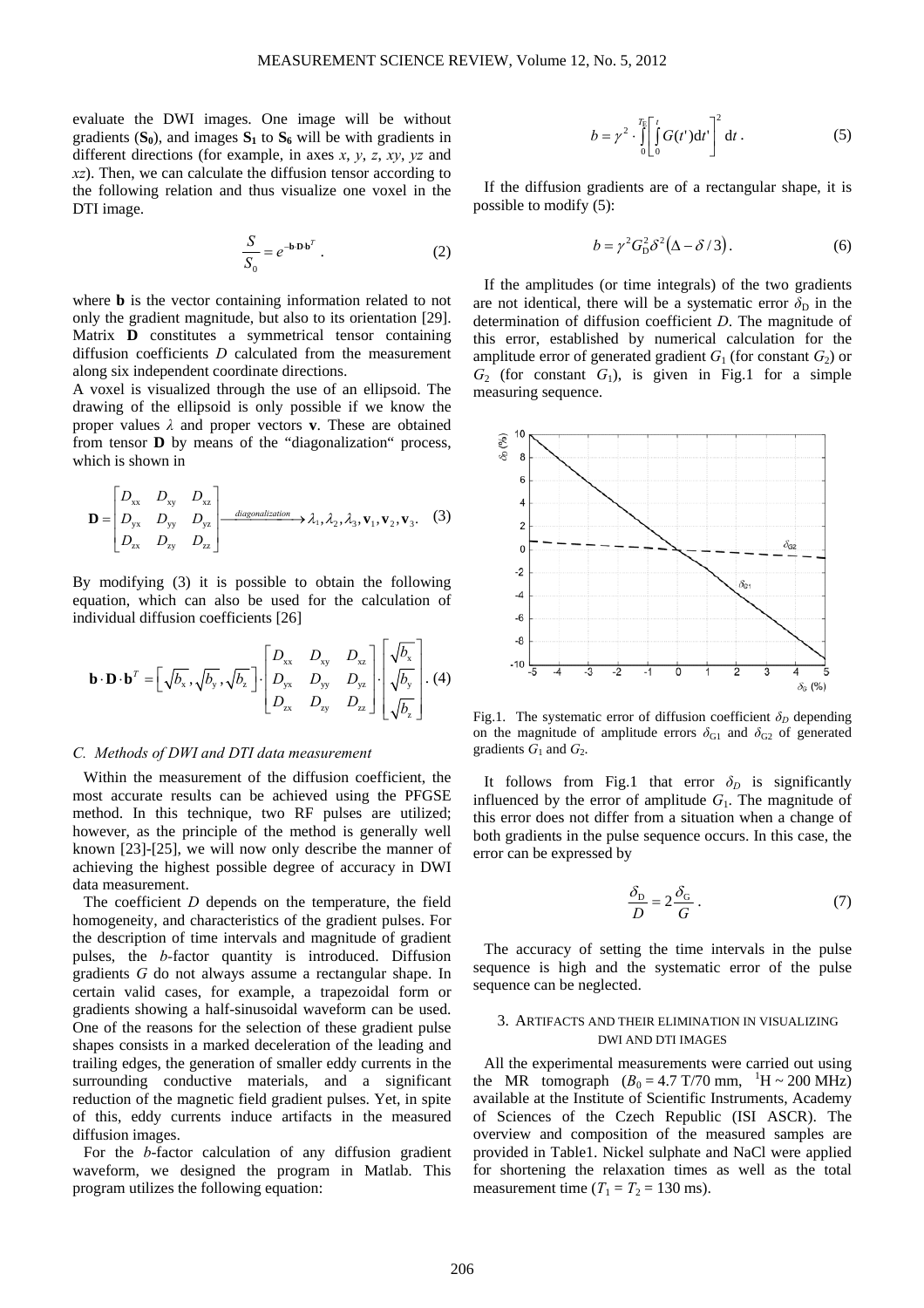evaluate the DWI images. One image will be without gradients  $(S_0)$ , and images  $S_1$  to  $S_6$  will be with gradients in different directions (for example, in axes *x*, *y*, *z*, *xy*, *yz* and *xz*). Then, we can calculate the diffusion tensor according to the following relation and thus visualize one voxel in the DTI image.

$$
\frac{S}{S_0} = e^{-\mathbf{b} \cdot \mathbf{D} \cdot \mathbf{b}^T} . \tag{2}
$$

where **b** is the vector containing information related to not only the gradient magnitude, but also to its orientation [29]. Matrix **D** constitutes a symmetrical tensor containing diffusion coefficients *D* calculated from the measurement along six independent coordinate directions.

A voxel is visualized through the use of an ellipsoid. The drawing of the ellipsoid is only possible if we know the proper values *λ* and proper vectors **v**. These are obtained from tensor **D** by means of the "diagonalization" process, which is shown in

$$
\mathbf{D} = \begin{bmatrix} D_{xx} & D_{xy} & D_{xz} \\ D_{yx} & D_{yy} & D_{yz} \\ D_{zx} & D_{zy} & D_{zz} \end{bmatrix} \xrightarrow{diagonalization} \lambda_1, \lambda_2, \lambda_3, \mathbf{v}_1, \mathbf{v}_2, \mathbf{v}_3. \quad (3)
$$

By modifying (3) it is possible to obtain the following equation, which can also be used for the calculation of individual diffusion coefficients [26]

$$
\mathbf{b} \cdot \mathbf{D} \cdot \mathbf{b}^T = \left[ \sqrt{b_x}, \sqrt{b_y}, \sqrt{b_z} \right] \cdot \begin{bmatrix} D_{xx} & D_{xy} & D_{xz} \\ D_{yx} & D_{yy} & D_{yz} \\ D_{zx} & D_{zy} & D_{zz} \end{bmatrix} \cdot \begin{bmatrix} \sqrt{b_x} \\ \sqrt{b_y} \\ \sqrt{b_z} \end{bmatrix} . (4)
$$

#### *C. Methods of DWI and DTI data measurement*

Within the measurement of the diffusion coefficient, the most accurate results can be achieved using the PFGSE method. In this technique, two RF pulses are utilized; however, as the principle of the method is generally well known [23]-[25], we will now only describe the manner of achieving the highest possible degree of accuracy in DWI data measurement.

The coefficient *D* depends on the temperature, the field homogeneity, and characteristics of the gradient pulses. For the description of time intervals and magnitude of gradient pulses, the *b-*factor quantity is introduced. Diffusion gradients *G* do not always assume a rectangular shape. In certain valid cases, for example, a trapezoidal form or gradients showing a half-sinusoidal waveform can be used. One of the reasons for the selection of these gradient pulse shapes consists in a marked deceleration of the leading and trailing edges, the generation of smaller eddy currents in the surrounding conductive materials, and a significant reduction of the magnetic field gradient pulses. Yet, in spite of this, eddy currents induce artifacts in the measured diffusion images.

For the *b*-factor calculation of any diffusion gradient waveform, we designed the program in Matlab. This program utilizes the following equation:

$$
b = \gamma^2 \cdot \int_0^{T_{\rm E}} \left[ \int_0^t G(t') \mathrm{d}t' \right]^2 \mathrm{d}t \,. \tag{5}
$$

If the diffusion gradients are of a rectangular shape, it is possible to modify (5):

$$
b = \gamma^2 G_{\rm D}^2 \delta^2 (\Delta - \delta / 3). \tag{6}
$$

If the amplitudes (or time integrals) of the two gradients are not identical, there will be a systematic error  $\delta_{\rm D}$  in the determination of diffusion coefficient *D*. The magnitude of this error, established by numerical calculation for the amplitude error of generated gradient  $G_1$  (for constant  $G_2$ ) or  $G_2$  (for constant  $G_1$ ), is given in Fig.1 for a simple measuring sequence.



Fig.1. The systematic error of diffusion coefficient  $\delta_D$  depending on the magnitude of amplitude errors  $\delta_{G1}$  and  $\delta_{G2}$  of generated gradients  $G_1$  and  $G_2$ .

It follows from Fig.1 that error  $\delta_D$  is significantly influenced by the error of amplitude  $G_1$ . The magnitude of this error does not differ from a situation when a change of both gradients in the pulse sequence occurs. In this case, the error can be expressed by

$$
\frac{\delta_{\rm D}}{D} = 2 \frac{\delta_{\rm G}}{G} \,. \tag{7}
$$

The accuracy of setting the time intervals in the pulse sequence is high and the systematic error of the pulse sequence can be neglected.

#### 3. ARTIFACTS AND THEIR ELIMINATION IN VISUALIZING DWI AND DTI IMAGES

All the experimental measurements were carried out using the MR tomograph  $(B_0 = 4.7 \text{ T} / 70 \text{ mm}, \text{ H} \sim 200 \text{ MHz})$ available at the Institute of Scientific Instruments, Academy of Sciences of the Czech Republic (ISI ASCR). The overview and composition of the measured samples are provided in Table1. Nickel sulphate and NaCl were applied for shortening the relaxation times as well as the total measurement time  $(T_1 = T_2 = 130 \text{ ms})$ .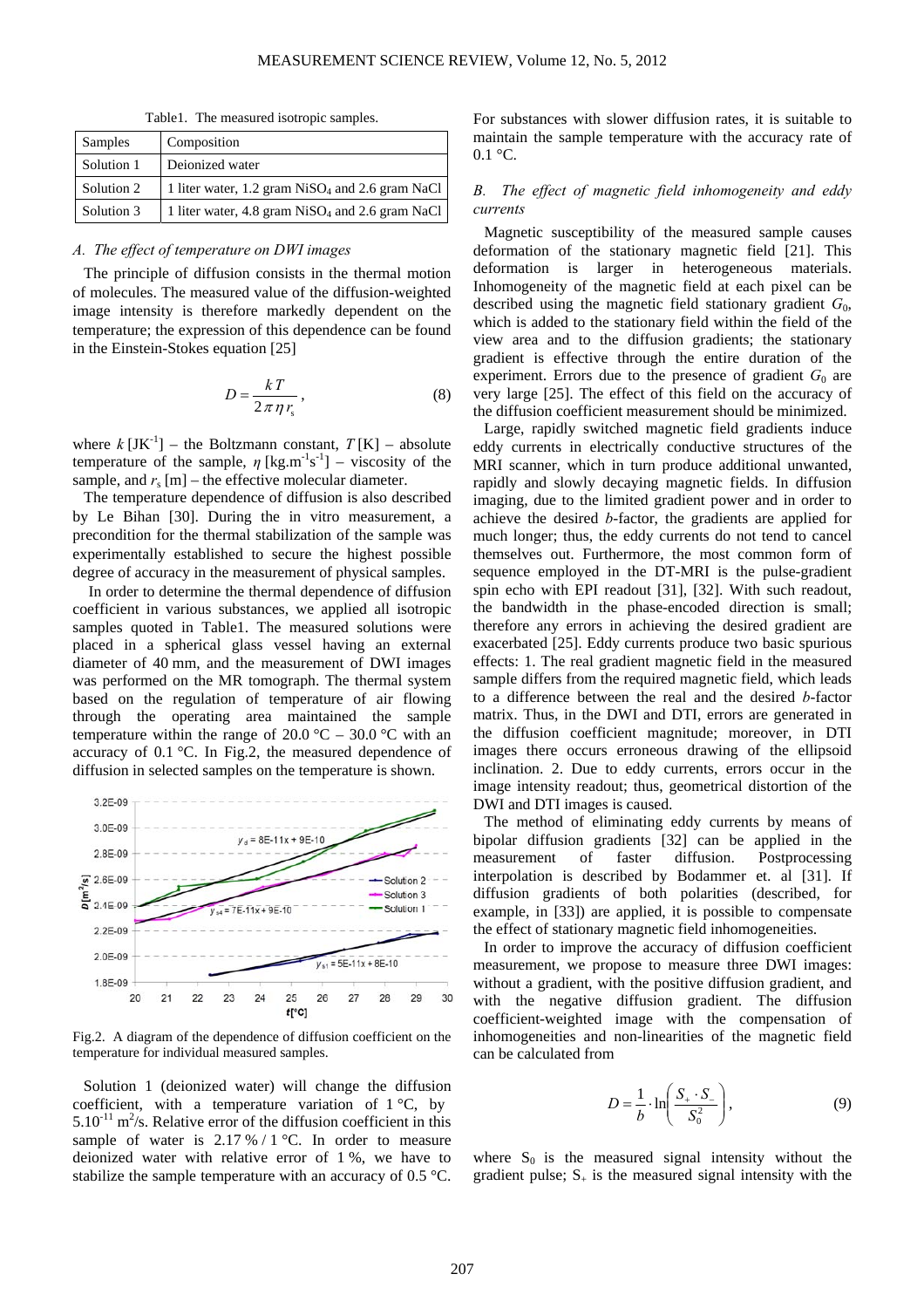Table1. The measured isotropic samples.

| Samples    | Composition                                        |  |
|------------|----------------------------------------------------|--|
| Solution 1 | Deionized water                                    |  |
| Solution 2 | 1 liter water, 1.2 gram $NiSO_4$ and 2.6 gram NaCl |  |
| Solution 3 | 1 liter water, 4.8 gram $NiSO_4$ and 2.6 gram NaCl |  |

# *A. The effect of temperature on DWI images*

The principle of diffusion consists in the thermal motion of molecules. The measured value of the diffusion-weighted image intensity is therefore markedly dependent on the temperature; the expression of this dependence can be found in the Einstein-Stokes equation [25]

$$
D = \frac{kT}{2\pi\eta r_s},\tag{8}
$$

where  $k$  [JK<sup>-1</sup>] – the Boltzmann constant,  $T$  [K] – absolute temperature of the sample,  $\eta$  [kg.m<sup>-1</sup>s<sup>-1</sup>] – viscosity of the sample, and  $r_s$  [m] – the effective molecular diameter.

The temperature dependence of diffusion is also described by Le Bihan [30]. During the in vitro measurement, a precondition for the thermal stabilization of the sample was experimentally established to secure the highest possible degree of accuracy in the measurement of physical samples.

In order to determine the thermal dependence of diffusion coefficient in various substances, we applied all isotropic samples quoted in Table1. The measured solutions were placed in a spherical glass vessel having an external diameter of 40 mm, and the measurement of DWI images was performed on the MR tomograph. The thermal system based on the regulation of temperature of air flowing through the operating area maintained the sample temperature within the range of  $20.0\degree C - 30.0\degree C$  with an accuracy of 0.1 °C. In Fig.2, the measured dependence of diffusion in selected samples on the temperature is shown.



Fig.2. A diagram of the dependence of diffusion coefficient on the temperature for individual measured samples.

Solution 1 (deionized water) will change the diffusion coefficient, with a temperature variation of  $1^{\circ}C$ , by  $5.10<sup>-11</sup>$  m<sup>2</sup>/s. Relative error of the diffusion coefficient in this sample of water is  $2.17\% / 1$  °C. In order to measure deionized water with relative error of 1 %, we have to stabilize the sample temperature with an accuracy of 0.5 °C.

For substances with slower diffusion rates, it is suitable to maintain the sample temperature with the accuracy rate of  $0.1 \text{ }^{\circ}C.$ 

# *B. The effect of magnetic field inhomogeneity and eddy currents*

Magnetic susceptibility of the measured sample causes deformation of the stationary magnetic field [21]. This deformation is larger in heterogeneous materials. Inhomogeneity of the magnetic field at each pixel can be described using the magnetic field stationary gradient  $G_0$ , which is added to the stationary field within the field of the view area and to the diffusion gradients; the stationary gradient is effective through the entire duration of the experiment. Errors due to the presence of gradient  $G_0$  are very large [25]. The effect of this field on the accuracy of the diffusion coefficient measurement should be minimized.

Large, rapidly switched magnetic field gradients induce eddy currents in electrically conductive structures of the MRI scanner, which in turn produce additional unwanted, rapidly and slowly decaying magnetic fields. In diffusion imaging, due to the limited gradient power and in order to achieve the desired *b*-factor, the gradients are applied for much longer; thus, the eddy currents do not tend to cancel themselves out. Furthermore, the most common form of sequence employed in the DT-MRI is the pulse-gradient spin echo with EPI readout [31], [32]. With such readout, the bandwidth in the phase-encoded direction is small; therefore any errors in achieving the desired gradient are exacerbated [25]. Eddy currents produce two basic spurious effects: 1. The real gradient magnetic field in the measured sample differs from the required magnetic field, which leads to a difference between the real and the desired *b*-factor matrix. Thus, in the DWI and DTI, errors are generated in the diffusion coefficient magnitude; moreover, in DTI images there occurs erroneous drawing of the ellipsoid inclination. 2. Due to eddy currents, errors occur in the image intensity readout; thus, geometrical distortion of the DWI and DTI images is caused.

The method of eliminating eddy currents by means of bipolar diffusion gradients [32] can be applied in the measurement of faster diffusion. Postprocessing interpolation is described by Bodammer et. al [31]. If diffusion gradients of both polarities (described, for example, in [33]) are applied, it is possible to compensate the effect of stationary magnetic field inhomogeneities.

In order to improve the accuracy of diffusion coefficient measurement, we propose to measure three DWI images: without a gradient, with the positive diffusion gradient, and with the negative diffusion gradient. The diffusion coefficient-weighted image with the compensation of inhomogeneities and non-linearities of the magnetic field can be calculated from

$$
D = \frac{1}{b} \cdot \ln\left(\frac{S_+ \cdot S_-}{S_0^2}\right),
$$
 (9)

where  $S_0$  is the measured signal intensity without the gradient pulse;  $S_{+}$  is the measured signal intensity with the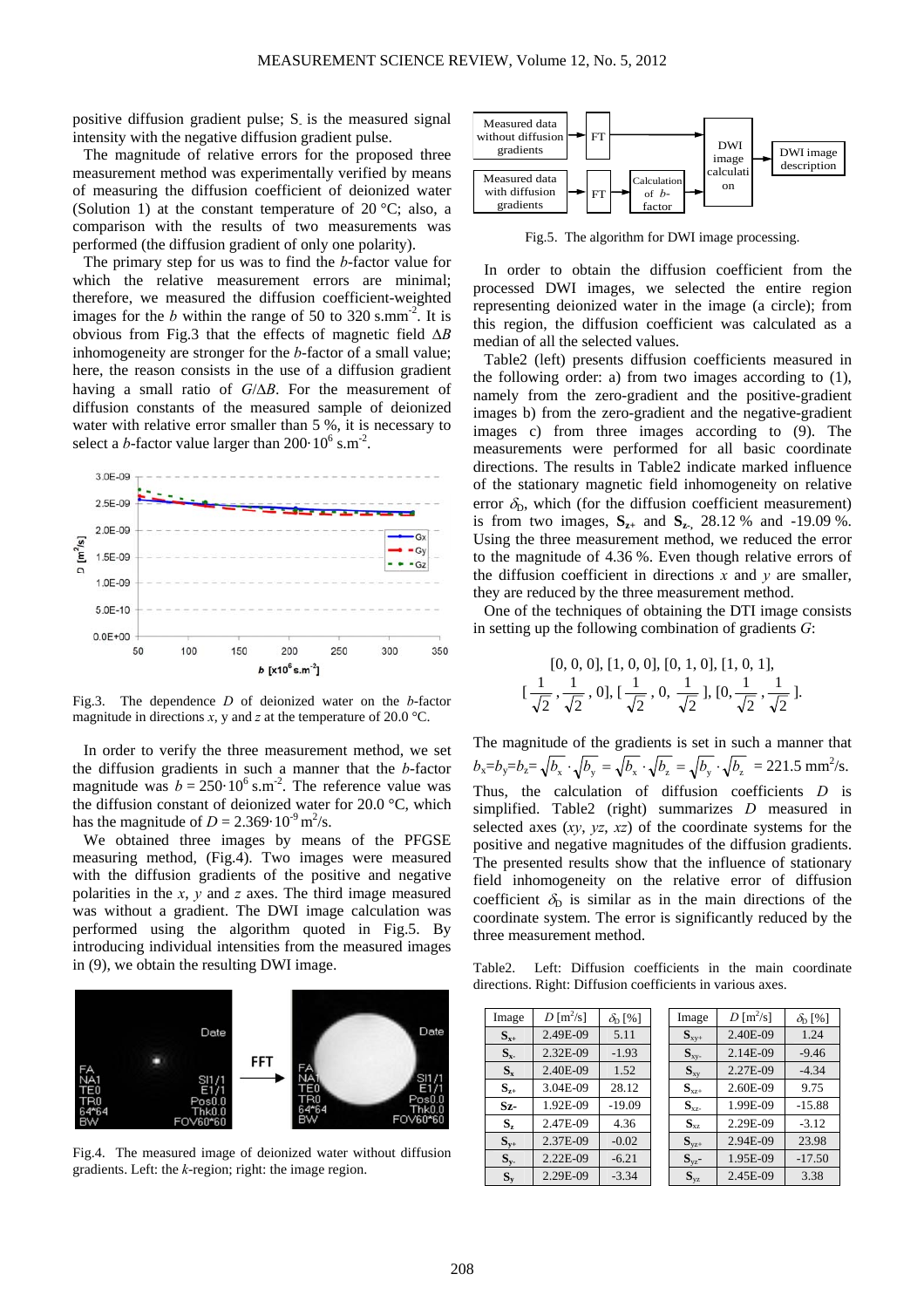positive diffusion gradient pulse; S. is the measured signal intensity with the negative diffusion gradient pulse.

The magnitude of relative errors for the proposed three measurement method was experimentally verified by means of measuring the diffusion coefficient of deionized water (Solution 1) at the constant temperature of 20  $^{\circ}$ C; also, a comparison with the results of two measurements was performed (the diffusion gradient of only one polarity).

The primary step for us was to find the *b*-factor value for which the relative measurement errors are minimal; therefore, we measured the diffusion coefficient-weighted images for the *b* within the range of 50 to 320 s.mm<sup>-2</sup>. It is obvious from Fig.3 that the effects of magnetic field Δ*B* inhomogeneity are stronger for the *b*-factor of a small value; here, the reason consists in the use of a diffusion gradient having a small ratio of *G*/Δ*B*. For the measurement of diffusion constants of the measured sample of deionized water with relative error smaller than 5 %, it is necessary to select a *b*-factor value larger than  $200 \cdot 10^6$  s.m<sup>-2</sup>.



Fig.3. The dependence *D* of deionized water on the *b*-factor magnitude in directions *x*, y and *z* at the temperature of 20.0 °C.

In order to verify the three measurement method, we set the diffusion gradients in such a manner that the *b*-factor magnitude was  $b = 250 \cdot 10^6$  s.m<sup>-2</sup>. The reference value was the diffusion constant of deionized water for 20.0 °C, which has the magnitude of  $D = 2.369 \cdot 10^{-9} \text{ m}^2/\text{s}$ .

We obtained three images by means of the PFGSE measuring method, (Fig.4). Two images were measured with the diffusion gradients of the positive and negative polarities in the *x*, *y* and *z* axes. The third image measured was without a gradient. The DWI image calculation was performed using the algorithm quoted in Fig.5. By introducing individual intensities from the measured images in (9), we obtain the resulting DWI image.



Fig.4. The measured image of deionized water without diffusion gradients. Left: the *k*-region; right: the image region.



Fig.5. The algorithm for DWI image processing.

In order to obtain the diffusion coefficient from the processed DWI images, we selected the entire region representing deionized water in the image (a circle); from this region, the diffusion coefficient was calculated as a median of all the selected values.

Table2 (left) presents diffusion coefficients measured in the following order: a) from two images according to (1), namely from the zero-gradient and the positive-gradient images b) from the zero-gradient and the negative-gradient images c) from three images according to (9). The measurements were performed for all basic coordinate directions. The results in Table2 indicate marked influence of the stationary magnetic field inhomogeneity on relative error  $\delta_{\rm D}$ , which (for the diffusion coefficient measurement) is from two images,  $S_{z+}$  and  $S_{z-}$ , 28.12 % and -19.09 %. Using the three measurement method, we reduced the error to the magnitude of 4.36 %. Even though relative errors of the diffusion coefficient in directions  $x$  and  $y$  are smaller, they are reduced by the three measurement method.

One of the techniques of obtaining the DTI image consists in setting up the following combination of gradients *G*:

[0, 0, 0], [1, 0, 0], [0, 1, 0], [1, 0, 1],  

$$
\left[\frac{1}{\sqrt{2}}, \frac{1}{\sqrt{2}}, 0\right], \left[\frac{1}{\sqrt{2}}, 0, \frac{1}{\sqrt{2}}\right], [0, \frac{1}{\sqrt{2}}, \frac{1}{\sqrt{2}}].
$$

The magnitude of the gradients is set in such a manner that  $b_x=b_y=b_z=\sqrt{b_x}\cdot\sqrt{b_y}=\sqrt{b_x}\cdot\sqrt{b_z}=\sqrt{b_y}\cdot\sqrt{b_z}=221.5$  mm<sup>2</sup>/s. Thus, the calculation of diffusion coefficients *D* is simplified. Table2 (right) summarizes *D* measured in selected axes (*xy*, *yz*, *xz*) of the coordinate systems for the positive and negative magnitudes of the diffusion gradients. The presented results show that the influence of stationary field inhomogeneity on the relative error of diffusion coefficient  $\delta_{\rm D}$  is similar as in the main directions of the coordinate system. The error is significantly reduced by the three measurement method.

Table2. Left: Diffusion coefficients in the main coordinate directions. Right: Diffusion coefficients in various axes.

| Image       | $D \,[\mathrm{m}^2/\mathrm{s}]$ | $\delta_{\scriptscriptstyle{\mathrm{D}}}$ [%] | Image      | $D \,[\mathrm{m^2/s}]$ | $\delta_{\rm D}$ [%] |
|-------------|---------------------------------|-----------------------------------------------|------------|------------------------|----------------------|
| $S_{x+}$    | 2.49E-09                        | 5.11                                          | $S_{xy+}$  | 2.40E-09               | 1.24                 |
| $S_{x}$     | 2.32E-09                        | $-1.93$                                       | $S_{xy}$   | 2.14E-09               | $-9.46$              |
| $S_{x}$     | 2.40E-09                        | 1.52                                          | $S_{xy}$   | 2.27E-09               | $-4.34$              |
| $S_{z+}$    | 3.04E-09                        | 28.12                                         | $S_{xz}$   | 2.60E-09               | 9.75                 |
| Sz-         | 1.92E-09                        | $-19.09$                                      | $S_{xz}$   | 1.99E-09               | $-15.88$             |
| $S_{\rm z}$ | 2.47E-09                        | 4.36                                          | $S_{xz}$   | 2.29E-09               | $-3.12$              |
| $S_{v+}$    | 2.37E-09                        | $-0.02$                                       | $S_{yz+}$  | 2.94E-09               | 23.98                |
| $S_{y}$ .   | 2.22E-09                        | $-6.21$                                       | $S_{yz}$ - | 1.95E-09               | $-17.50$             |
| $S_{v}$     | 2.29E-09                        | $-3.34$                                       | $S_{yz}$   | 2.45E-09               | 3.38                 |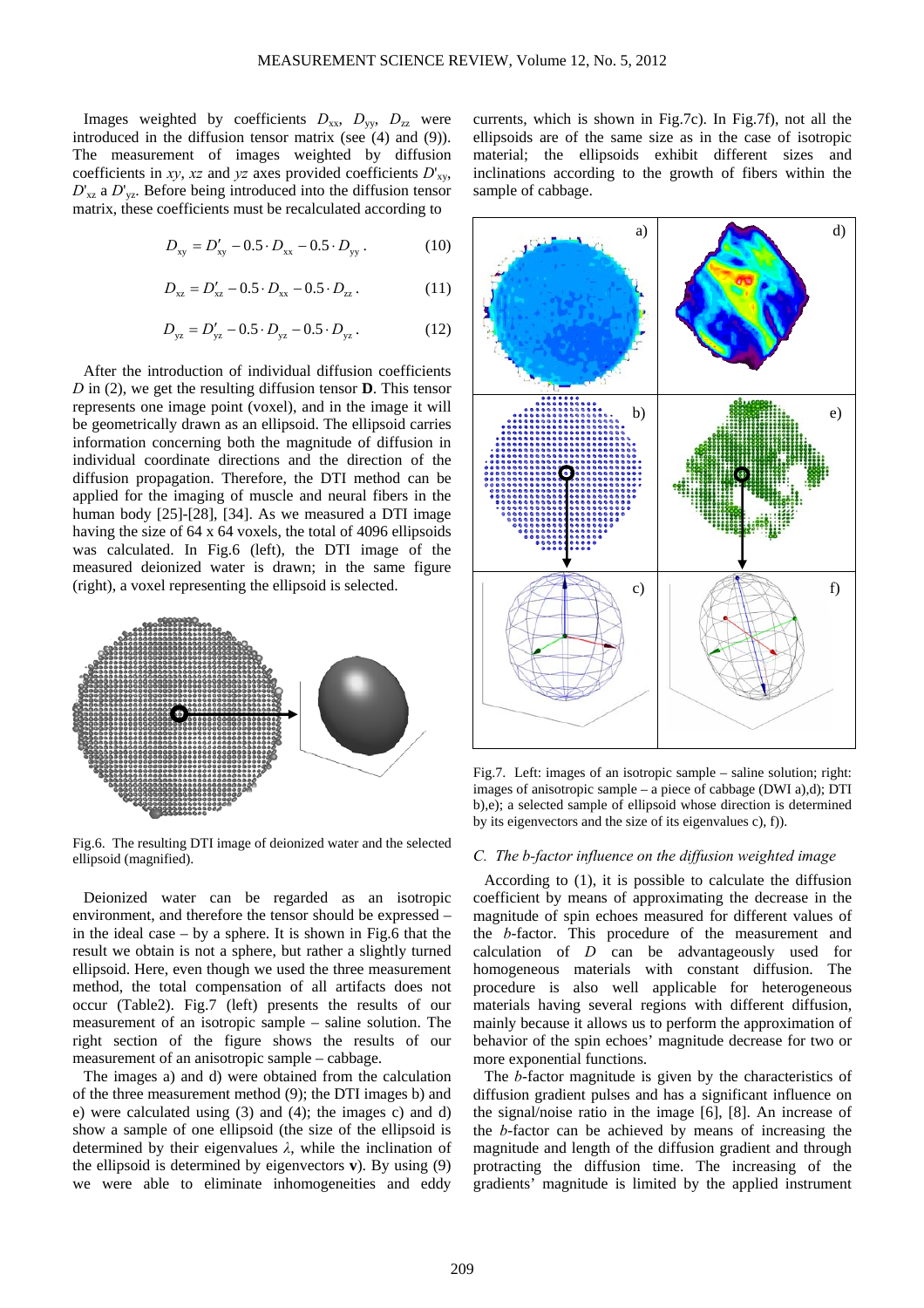Images weighted by coefficients  $D_{xx}$ ,  $D_{yy}$ ,  $D_{zz}$  were introduced in the diffusion tensor matrix (see (4) and (9)). The measurement of images weighted by diffusion coefficients in *xy*, *xz* and *yz* axes provided coefficients  $D'_{xy}$ ,  $D'_{xz}$  a  $D'_{yz}$ . Before being introduced into the diffusion tensor matrix, these coefficients must be recalculated according to

$$
D_{xy} = D'_{xy} - 0.5 \cdot D_{xx} - 0.5 \cdot D_{yy}. \qquad (10)
$$

$$
D_{xz} = D'_{xz} - 0.5 \cdot D_{xx} - 0.5 \cdot D_{zz}.
$$
 (11)

$$
D_{yz} = D'_{yz} - 0.5 \cdot D_{yz} - 0.5 \cdot D_{yz} . \tag{12}
$$

After the introduction of individual diffusion coefficients *D* in (2), we get the resulting diffusion tensor **D**. This tensor represents one image point (voxel), and in the image it will be geometrically drawn as an ellipsoid. The ellipsoid carries information concerning both the magnitude of diffusion in individual coordinate directions and the direction of the diffusion propagation. Therefore, the DTI method can be applied for the imaging of muscle and neural fibers in the human body [25]-[28], [34]. As we measured a DTI image having the size of 64 x 64 voxels, the total of 4096 ellipsoids was calculated. In Fig.6 (left), the DTI image of the measured deionized water is drawn; in the same figure (right), a voxel representing the ellipsoid is selected.



Fig.6. The resulting DTI image of deionized water and the selected ellipsoid (magnified).

Deionized water can be regarded as an isotropic environment, and therefore the tensor should be expressed – in the ideal case – by a sphere. It is shown in Fig.6 that the result we obtain is not a sphere, but rather a slightly turned ellipsoid. Here, even though we used the three measurement method, the total compensation of all artifacts does not occur (Table2). Fig.7 (left) presents the results of our measurement of an isotropic sample – saline solution. The right section of the figure shows the results of our measurement of an anisotropic sample – cabbage.

The images a) and d) were obtained from the calculation of the three measurement method (9); the DTI images b) and e) were calculated using (3) and (4); the images c) and d) show a sample of one ellipsoid (the size of the ellipsoid is determined by their eigenvalues *λ*, while the inclination of the ellipsoid is determined by eigenvectors **v**). By using (9) we were able to eliminate inhomogeneities and eddy currents, which is shown in Fig.7c). In Fig.7f), not all the ellipsoids are of the same size as in the case of isotropic material; the ellipsoids exhibit different sizes and inclinations according to the growth of fibers within the sample of cabbage.



Fig.7. Left: images of an isotropic sample – saline solution; right: images of anisotropic sample – a piece of cabbage (DWI a),d); DTI b),e); a selected sample of ellipsoid whose direction is determined by its eigenvectors and the size of its eigenvalues c), f)).

# *C. The b-factor influence on the diffusion weighted image*

According to (1), it is possible to calculate the diffusion coefficient by means of approximating the decrease in the magnitude of spin echoes measured for different values of the *b*-factor. This procedure of the measurement and calculation of *D* can be advantageously used for homogeneous materials with constant diffusion. The procedure is also well applicable for heterogeneous materials having several regions with different diffusion, mainly because it allows us to perform the approximation of behavior of the spin echoes' magnitude decrease for two or more exponential functions.

The *b*-factor magnitude is given by the characteristics of diffusion gradient pulses and has a significant influence on the signal/noise ratio in the image [6], [8]. An increase of the *b*-factor can be achieved by means of increasing the magnitude and length of the diffusion gradient and through protracting the diffusion time. The increasing of the gradients' magnitude is limited by the applied instrument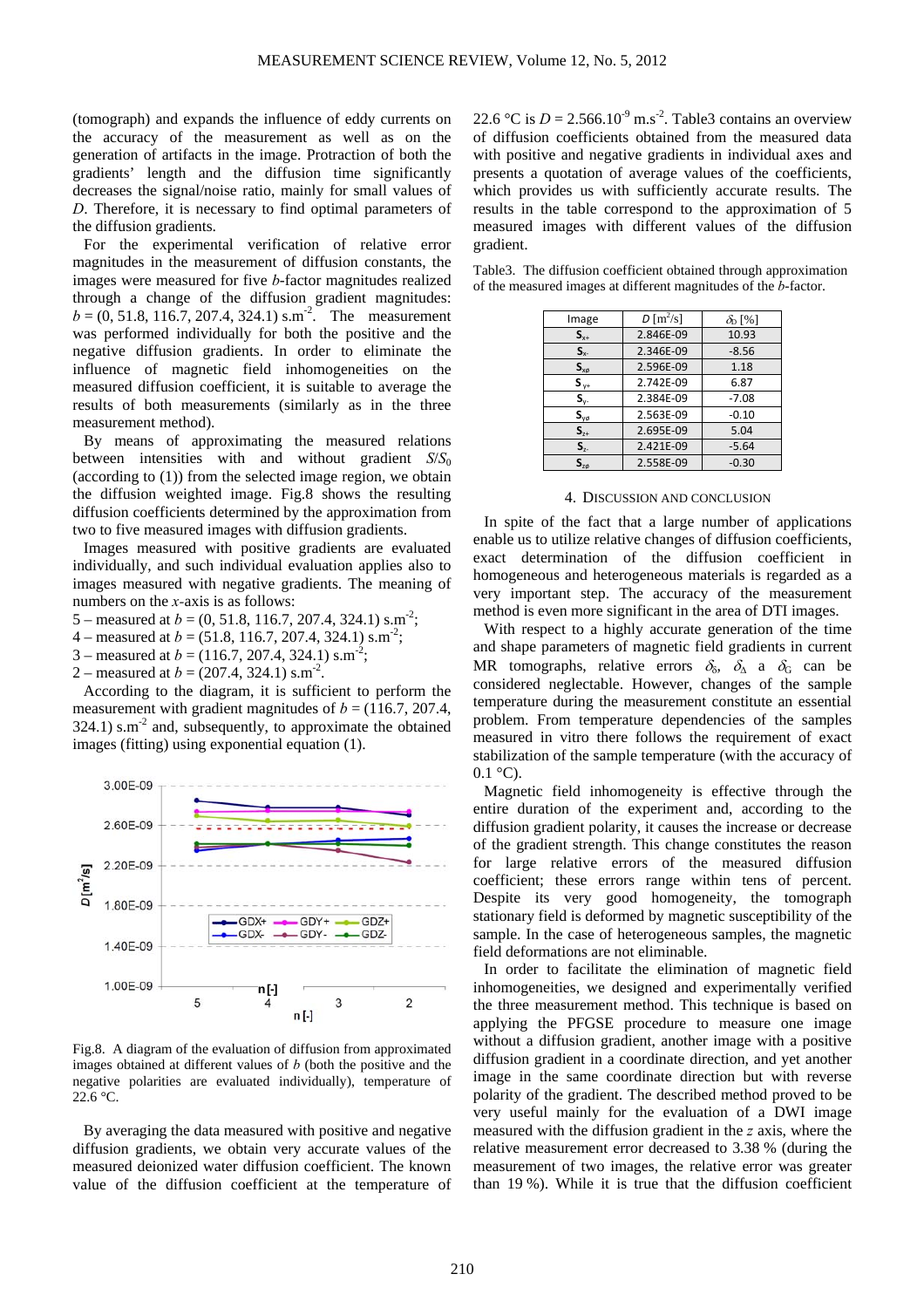(tomograph) and expands the influence of eddy currents on the accuracy of the measurement as well as on the generation of artifacts in the image. Protraction of both the gradients' length and the diffusion time significantly decreases the signal/noise ratio, mainly for small values of *D*. Therefore, it is necessary to find optimal parameters of the diffusion gradients.

For the experimental verification of relative error magnitudes in the measurement of diffusion constants, the images were measured for five *b*-factor magnitudes realized through a change of the diffusion gradient magnitudes:  $b = (0, 51.8, 116.7, 207.4, 324.1)$  s.m<sup>-2</sup>. The measurement was performed individually for both the positive and the negative diffusion gradients. In order to eliminate the influence of magnetic field inhomogeneities on the measured diffusion coefficient, it is suitable to average the results of both measurements (similarly as in the three measurement method).

By means of approximating the measured relations between intensities with and without gradient  $S/S_0$ (according to (1)) from the selected image region, we obtain the diffusion weighted image. Fig.8 shows the resulting diffusion coefficients determined by the approximation from two to five measured images with diffusion gradients.

Images measured with positive gradients are evaluated individually, and such individual evaluation applies also to images measured with negative gradients. The meaning of numbers on the *x-*axis is as follows:

- 5 measured at  $b = (0, 51.8, 116.7, 207.4, 324.1)$  s.m<sup>-2</sup>;
- 4 measured at  $b = (51.8, 116.7, 207.4, 324.1)$  s.m<sup>-2</sup>;
- 3 measured at  $b = (116.7, 207.4, 324.1)$  s.m<sup>-2</sup>;
- 2 measured at  $b = (207.4, 324.1)$  s.m<sup>-2</sup>.

According to the diagram, it is sufficient to perform the measurement with gradient magnitudes of  $b = (116.7, 207.4,$  $324.1$ ) s.m<sup>-2</sup> and, subsequently, to approximate the obtained images (fitting) using exponential equation (1).



Fig.8. A diagram of the evaluation of diffusion from approximated images obtained at different values of *b* (both the positive and the negative polarities are evaluated individually), temperature of  $22.6 °C$ .

By averaging the data measured with positive and negative diffusion gradients, we obtain very accurate values of the measured deionized water diffusion coefficient. The known value of the diffusion coefficient at the temperature of 22.6 °C is  $D = 2.566.10<sup>-9</sup>$  m.s<sup>-2</sup>. Table3 contains an overview of diffusion coefficients obtained from the measured data with positive and negative gradients in individual axes and presents a quotation of average values of the coefficients, which provides us with sufficiently accurate results. The results in the table correspond to the approximation of 5 measured images with different values of the diffusion gradient.

Table3. The diffusion coefficient obtained through approximation of the measured images at different magnitudes of the *b*-factor.

| Image               | $D \text{ [m}^2/\text{s]}$ | $\delta_{\rm D}$ [%] |
|---------------------|----------------------------|----------------------|
| $S_{x+}$            | 2.846E-09                  | 10.93                |
| $S_{x}$             | 2.346E-09                  | $-8.56$              |
| $S_{x\emptyset}$    | 2.596E-09                  | 1.18                 |
| $S_{y+}$            | 2.742E-09                  | 6.87                 |
| $S_{v}$             | 2.384E-09                  | $-7.08$              |
| $S_{\vee\emptyset}$ | 2.563E-09                  | $-0.10$              |
| $S_{z+}$            | 2.695E-09                  | 5.04                 |
| $S_{7-}$            | 2.421E-09                  | $-5.64$              |
| $S_{z\phi}$         | 2.558E-09                  | $-0.30$              |

#### 4. DISCUSSION AND CONCLUSION

In spite of the fact that a large number of applications enable us to utilize relative changes of diffusion coefficients, exact determination of the diffusion coefficient in homogeneous and heterogeneous materials is regarded as a very important step. The accuracy of the measurement method is even more significant in the area of DTI images.

With respect to a highly accurate generation of the time and shape parameters of magnetic field gradients in current MR tomographs, relative errors  $\delta_{\delta}$ ,  $\delta_{\Lambda}$  a  $\delta_{\Omega}$  can be considered neglectable. However, changes of the sample temperature during the measurement constitute an essential problem. From temperature dependencies of the samples measured in vitro there follows the requirement of exact stabilization of the sample temperature (with the accuracy of  $0.1 \text{ }^{\circ}C$ ).

Magnetic field inhomogeneity is effective through the entire duration of the experiment and, according to the diffusion gradient polarity, it causes the increase or decrease of the gradient strength. This change constitutes the reason for large relative errors of the measured diffusion coefficient; these errors range within tens of percent. Despite its very good homogeneity, the tomograph stationary field is deformed by magnetic susceptibility of the sample. In the case of heterogeneous samples, the magnetic field deformations are not eliminable.

In order to facilitate the elimination of magnetic field inhomogeneities, we designed and experimentally verified the three measurement method. This technique is based on applying the PFGSE procedure to measure one image without a diffusion gradient, another image with a positive diffusion gradient in a coordinate direction, and yet another image in the same coordinate direction but with reverse polarity of the gradient. The described method proved to be very useful mainly for the evaluation of a DWI image measured with the diffusion gradient in the *z* axis, where the relative measurement error decreased to 3.38 % (during the measurement of two images, the relative error was greater than 19 %). While it is true that the diffusion coefficient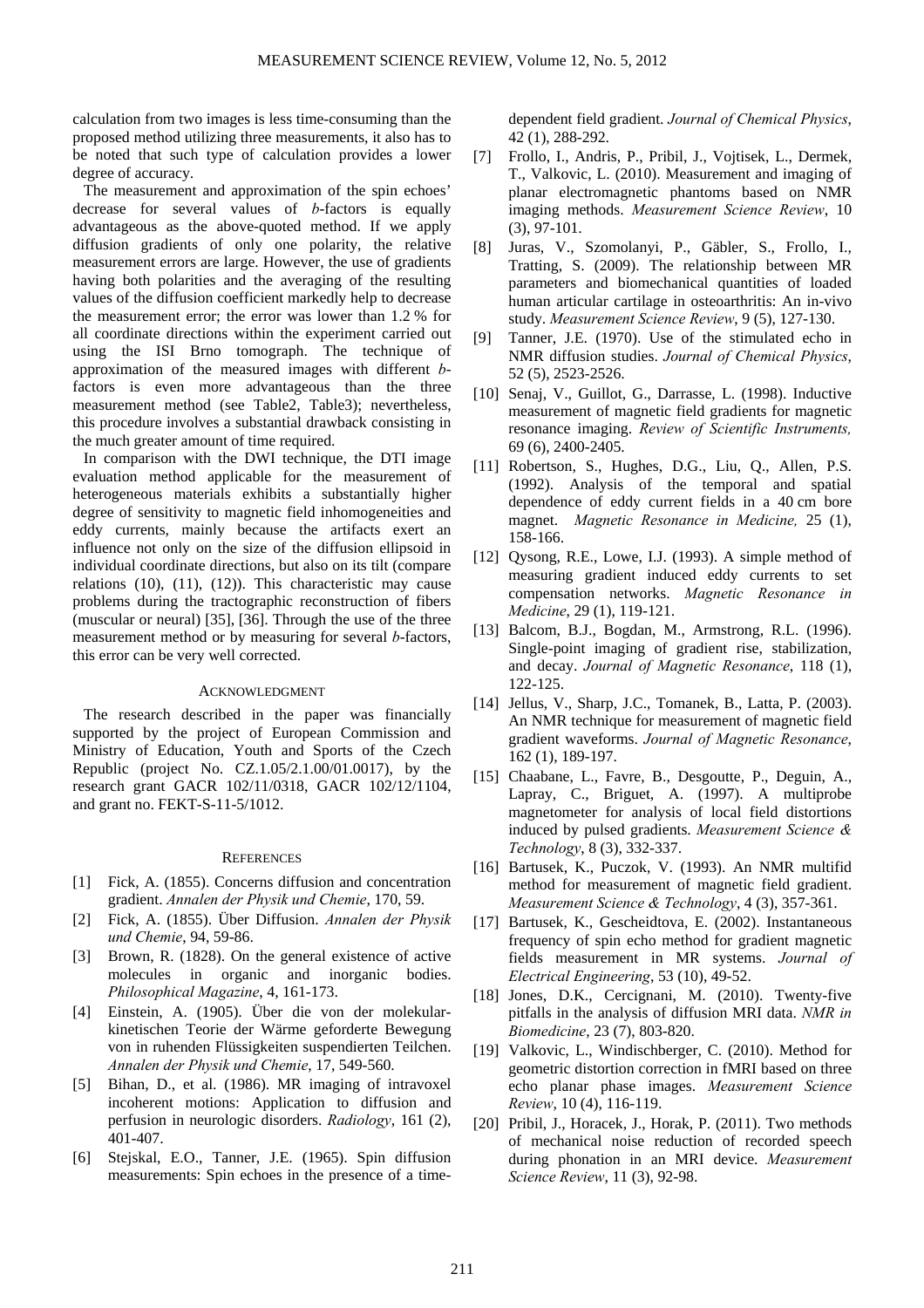calculation from two images is less time-consuming than the proposed method utilizing three measurements, it also has to be noted that such type of calculation provides a lower degree of accuracy.

The measurement and approximation of the spin echoes' decrease for several values of *b*-factors is equally advantageous as the above-quoted method. If we apply diffusion gradients of only one polarity, the relative measurement errors are large. However, the use of gradients having both polarities and the averaging of the resulting values of the diffusion coefficient markedly help to decrease the measurement error; the error was lower than 1.2 % for all coordinate directions within the experiment carried out using the ISI Brno tomograph. The technique of approximation of the measured images with different *b*factors is even more advantageous than the three measurement method (see Table2, Table3); nevertheless, this procedure involves a substantial drawback consisting in the much greater amount of time required.

In comparison with the DWI technique, the DTI image evaluation method applicable for the measurement of heterogeneous materials exhibits a substantially higher degree of sensitivity to magnetic field inhomogeneities and eddy currents, mainly because the artifacts exert an influence not only on the size of the diffusion ellipsoid in individual coordinate directions, but also on its tilt (compare relations (10), (11), (12)). This characteristic may cause problems during the tractographic reconstruction of fibers (muscular or neural) [35], [36]. Through the use of the three measurement method or by measuring for several *b*-factors, this error can be very well corrected.

#### ACKNOWLEDGMENT

The research described in the paper was financially supported by the project of European Commission and Ministry of Education, Youth and Sports of the Czech Republic (project No. CZ.1.05/2.1.00/01.0017), by the research grant GACR 102/11/0318, GACR 102/12/1104, and grant no. FEKT-S-11-5/1012.

#### **REFERENCES**

- [1] Fick, A. (1855). Concerns diffusion and concentration gradient. *Annalen der Physik und Chemie*, 170, 59.
- [2] Fick, A. (1855). Über Diffusion. *Annalen der Physik und Chemie*, 94, 59-86.
- [3] Brown, R. (1828). On the general existence of active molecules in organic and inorganic bodies. *Philosophical Magazine*, 4, 161-173.
- [4] Einstein, A. (1905). Über die von der molekularkinetischen Teorie der Wärme geforderte Bewegung von in ruhenden Flüssigkeiten suspendierten Teilchen. *Annalen der Physik und Chemie*, 17, 549-560.
- [5] Bihan, D., et al. (1986). MR imaging of intravoxel incoherent motions: Application to diffusion and perfusion in neurologic disorders. *Radiology*, 161 (2), 401-407.
- [6] Stejskal, E.O., Tanner, J.E. (1965). Spin diffusion measurements: Spin echoes in the presence of a time-

dependent field gradient. *Journal of Chemical Physics*, 42 (1), 288-292.

- [7] Frollo, I., Andris, P., Pribil, J., Vojtisek, L., Dermek, T., Valkovic, L. (2010). Measurement and imaging of planar electromagnetic phantoms based on NMR imaging methods. *Measurement Science Review*, 10 (3), 97-101.
- [8] Juras, V., Szomolanyi, P., Gäbler, S., Frollo, I., Tratting, S. (2009). The relationship between MR parameters and biomechanical quantities of loaded human articular cartilage in osteoarthritis: An in-vivo study. *Measurement Science Review*, 9 (5), 127-130.
- [9] Tanner, J.E. (1970). Use of the stimulated echo in NMR diffusion studies. *Journal of Chemical Physics*, 52 (5), 2523-2526.
- [10] Senaj, V., Guillot, G., Darrasse, L. (1998). Inductive measurement of magnetic field gradients for magnetic resonance imaging. *Review of Scientific Instruments,*  69 (6), 2400-2405.
- [11] Robertson, S., Hughes, D.G., Liu, Q., Allen, P.S. (1992). Analysis of the temporal and spatial dependence of eddy current fields in a 40 cm bore magnet. *Magnetic Resonance in Medicine,* 25 (1), 158-166.
- [12] Oysong, R.E., Lowe, I.J. (1993). A simple method of measuring gradient induced eddy currents to set compensation networks. *Magnetic Resonance in Medicine*, 29 (1), 119-121.
- [13] Balcom, B.J., Bogdan, M., Armstrong, R.L. (1996). Single-point imaging of gradient rise, stabilization, and decay. *Journal of Magnetic Resonance*, 118 (1), 122-125.
- [14] Jellus, V., Sharp, J.C., Tomanek, B., Latta, P. (2003). An NMR technique for measurement of magnetic field gradient waveforms. *Journal of Magnetic Resonance*, 162 (1), 189-197.
- [15] Chaabane, L., Favre, B., Desgoutte, P., Deguin, A., Lapray, C., Briguet, A. (1997). A multiprobe magnetometer for analysis of local field distortions induced by pulsed gradients. *Measurement Science & Technology*, 8 (3), 332-337.
- [16] Bartusek, K., Puczok, V. (1993). An NMR multifid method for measurement of magnetic field gradient. *Measurement Science & Technology*, 4 (3), 357-361.
- [17] Bartusek, K., Gescheidtova, E. (2002). Instantaneous frequency of spin echo method for gradient magnetic fields measurement in MR systems. *Journal of Electrical Engineering*, 53 (10), 49-52.
- [18] Jones, D.K., Cercignani, M. (2010). Twenty-five pitfalls in the analysis of diffusion MRI data. *NMR in Biomedicine*, 23 (7), 803-820.
- [19] Valkovic, L., Windischberger, C. (2010). Method for geometric distortion correction in fMRI based on three echo planar phase images. *Measurement Science Review*, 10 (4), 116-119.
- [20] Pribil, J., Horacek, J., Horak, P. (2011). Two methods of mechanical noise reduction of recorded speech during phonation in an MRI device. *Measurement Science Review*, 11 (3), 92-98.